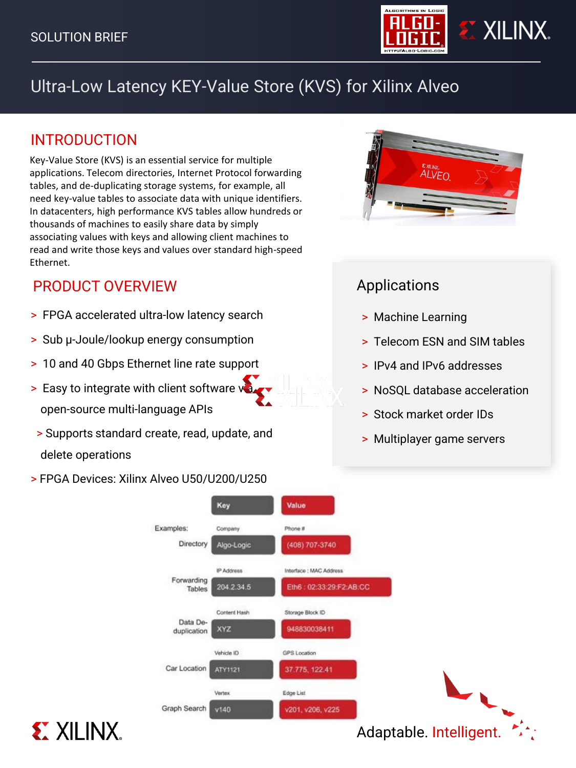

# Ultra-Low Latency KEY-Value Store (KVS) for Xilinx Alveo

## INTRODUCTION

Key-Value Store (KVS) is an essential service for multiple applications. Telecom directories, Internet Protocol forwarding tables, and de-duplicating storage systems, for example, all need key-value tables to associate data with unique identifiers. In datacenters, high performance KVS tables allow hundreds or thousands of machines to easily share data by simply associating values with keys and allowing client machines to read and write those keys and values over standard high-speed Ethernet.

## PRODUCT OVERVIEW

**EXILINX.** 

- > FPGA accelerated ultra-low latency search
- > Sub µ-Joule/lookup energy consumption
- > 10 and 40 Gbps Ethernet line rate support
- $>$  Easy to integrate with client software value open-source multi-language APIs
- > Supports standard create, read, update, and delete operations
- > FPGA Devices: Xilinx Alveo U50/U200/U250



## Applications

- > Machine Learning
- > Telecom ESN and SIM tables
- > IPv4 and IPv6 addresses
- > NoSQL database acceleration
- > Stock market order IDs
- > Multiplayer game servers